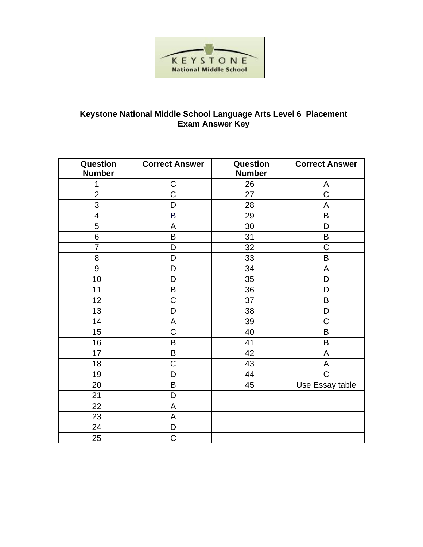

## Keystone National Middle School Language Arts Level 6 Placement<br>Exam Answer Key

| Question<br><b>Number</b> | <b>Correct Answer</b> | Question<br><b>Number</b> | <b>Correct Answer</b> |
|---------------------------|-----------------------|---------------------------|-----------------------|
| 1                         | $\mathsf C$           | 26                        | A                     |
| $\overline{2}$            | $\mathsf C$           | 27                        | $\mathsf C$           |
| 3                         | D                     | 28                        | A                     |
| $\overline{4}$            | B                     | 29                        | B                     |
| 5                         | A                     | 30                        | D                     |
| 6                         | B                     | 31                        | $\sf B$               |
| $\overline{7}$            | D                     | 32                        | C                     |
| 8                         | D                     | 33                        | B                     |
| 9                         | D                     | 34                        | A                     |
| 10                        | D                     | 35                        | D                     |
| 11                        | B                     | 36                        | D                     |
| 12                        | C                     | 37                        | B                     |
| 13                        | D                     | 38                        | D                     |
| 14                        | A                     | 39                        | C                     |
| 15                        | $\overline{C}$        | 40                        | B                     |
| 16                        | B                     | 41                        | $\sf B$               |
| 17                        | B                     | 42                        | A                     |
| 18                        | C                     | 43                        | A                     |
| 19                        | D                     | 44                        | $\overline{C}$        |
| 20                        | B                     | 45                        | Use Essay table       |
| 21                        | D                     |                           |                       |
| 22                        | A                     |                           |                       |
| 23                        | A                     |                           |                       |
| 24                        | D                     |                           |                       |
| 25                        | C                     |                           |                       |